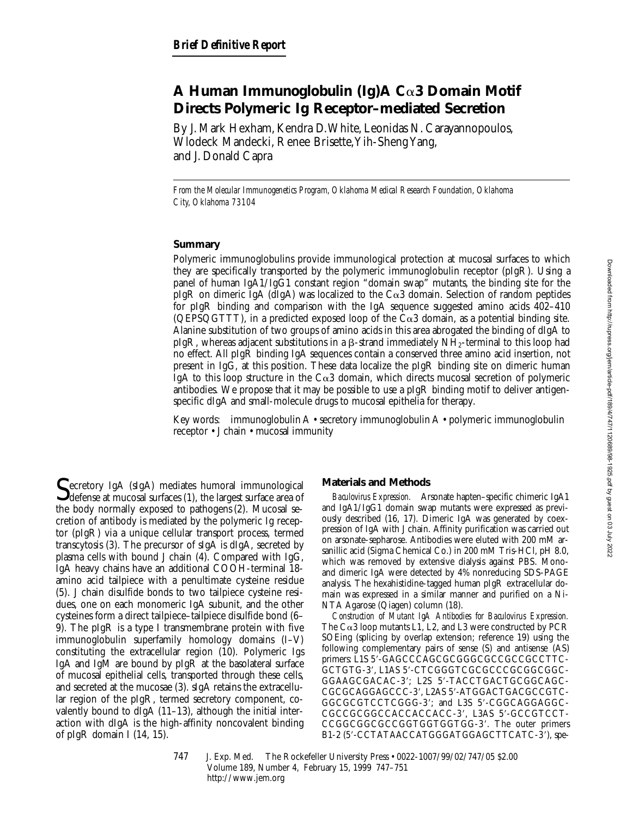# **A Human Immunoglobulin (Ig)A C**a**3 Domain Motif Directs Polymeric Ig Receptor–mediated Secretion**

By J. Mark Hexham, Kendra D. White, Leonidas N. Carayannopoulos, Wlodeck Mandecki, Renee Brisette, Yih-Sheng Yang, and J. Donald Capra

*From the Molecular Immunogenetics Program, Oklahoma Medical Research Foundation, Oklahoma City, Oklahoma 73104*

## **Summary**

Polymeric immunoglobulins provide immunological protection at mucosal surfaces to which they are specifically transported by the polymeric immunoglobulin receptor (pIgR). Using a panel of human IgA1/IgG1 constant region "domain swap" mutants, the binding site for the pIgR on dimeric IgA (dIgA) was localized to the  $C\alpha3$  domain. Selection of random peptides for pIgR binding and comparison with the IgA sequence suggested amino acids 402–410 (QEPSQGTTT), in a predicted exposed loop of the  $C\alpha3$  domain, as a potential binding site. Alanine substitution of two groups of amino acids in this area abrogated the binding of dIgA to pIgR, whereas adjacent substitutions in a  $\beta$ -strand immediately NH<sub>2</sub>-terminal to this loop had no effect. All pIgR binding IgA sequences contain a conserved three amino acid insertion, not present in IgG, at this position. These data localize the pIgR binding site on dimeric human IgA to this loop structure in the  $C\alpha3$  domain, which directs mucosal secretion of polymeric antibodies. We propose that it may be possible to use a pIgR binding motif to deliver antigenspecific dIgA and small-molecule drugs to mucosal epithelia for therapy.

Key words: immunoglobulin A • secretory immunoglobulin A • polymeric immunoglobulin receptor • J chain • mucosal immunity

 $\Gamma$ ecretory IgA (sIgA) mediates humoral immunological  $\bigcup$  defense at mucosal surfaces (1), the largest surface area of the body normally exposed to pathogens (2). Mucosal secretion of antibody is mediated by the polymeric Ig receptor (pIgR) via a unique cellular transport process, termed transcytosis (3). The precursor of sIgA is dIgA, secreted by plasma cells with bound J chain (4). Compared with IgG, IgA heavy chains have an additional COOH-terminal 18 amino acid tailpiece with a penultimate cysteine residue (5). J chain disulfide bonds to two tailpiece cysteine residues, one on each monomeric IgA subunit, and the other cysteines form a direct tailpiece–tailpiece disulfide bond (6– 9). The pIgR is a type I transmembrane protein with five immunoglobulin superfamily homology domains (I–V) constituting the extracellular region (10). Polymeric Igs IgA and IgM are bound by pIgR at the basolateral surface of mucosal epithelial cells, transported through these cells, and secreted at the mucosae (3). sIgA retains the extracellular region of the pIgR, termed secretory component, covalently bound to dIgA (11–13), although the initial interaction with dIgA is the high-affinity noncovalent binding of pIgR domain I (14, 15).

### **Materials and Methods**

*Baculovirus Expression.* Arsonate hapten–specific chimeric IgA1 and IgA1/IgG1 domain swap mutants were expressed as previously described (16, 17). Dimeric IgA was generated by coexpression of IgA with J chain. Affinity purification was carried out on arsonate-sepharose. Antibodies were eluted with 200 mM arsanillic acid (Sigma Chemical Co.) in 200 mM Tris-HCl, pH 8.0, which was removed by extensive dialysis against PBS. Monoand dimeric IgA were detected by 4% nonreducing SDS-PAGE analysis. The hexahistidine-tagged human pIgR extracellular domain was expressed in a similar manner and purified on a Ni-NTA Agarose (Qiagen) column (18).

*Construction of Mutant IgA Antibodies for Baculovirus Expression.* The  $Ca3$  loop mutants L1, L2, and L3 were constructed by PCR SOEing (splicing by overlap extension; reference 19) using the following complementary pairs of sense (S) and antisense (AS) primers: L1S 5'-GAGCCCAGCGCGGGCGCCGCCGCCTTC-GCTGTG-3', L1AS 5'-CTCGGGTCGCGCCCGCGGCGC-GGAAGCGACAC-3'; L2S 5'-TACCTGACTGCGGCAGC-CGCGCAGGAGCCC-3', L2AS 5'-ATGGACTGACGCCGTC-GGCGCGTCCTCGGG-3'; and L3S 5'-CGGCAGGAGGC-CGCCGCGGCCACCACCACC-3', L3AS 5'-GCCGTCCT-CCGGCGGCGCCGGTGGTGGTGG-3'. The outer primers B1-2 (5'-CCTATAACCATGGGATGGAGCTTCATC-3'), spe-

747 J. Exp. Med. © The Rockefeller University Press • 0022-1007/99/02/747/05 \$2.00 Volume 189, Number 4, February 15, 1999 747–751 http://www.jem.org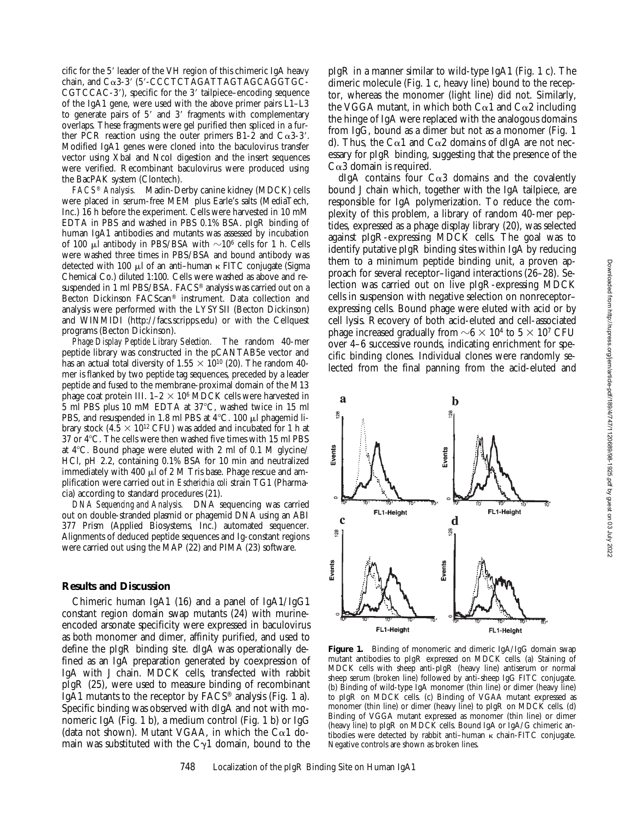cific for the 5' leader of the VH region of this chimeric IgA heavy chain, and  $Ca3-3'$  (5'-CCCTCTAGATTAGTAGCAGGTGC- $CGTCCAC-3'$ , specific for the 3' tailpiece–encoding sequence of the IgA1 gene, were used with the above primer pairs L1–L3 to generate pairs of  $5'$  and  $3'$  fragments with complementary overlaps. These fragments were gel purified then spliced in a further PCR reaction using the outer primers B1-2 and  $C\alpha$ 3-3'. Modified IgA1 genes were cloned into the baculovirus transfer vector using XbaI and NcoI digestion and the insert sequences were verified. Recombinant baculovirus were produced using the BacPAK system (Clontech).

*FACS® Analysis.* Madin-Derby canine kidney (MDCK) cells were placed in serum-free MEM plus Earle's salts (MediaTech, Inc.) 16 h before the experiment. Cells were harvested in 10 mM EDTA in PBS and washed in PBS 0.1% BSA. pIgR binding of human IgA1 antibodies and mutants was assessed by incubation of 100  $\mu$ l antibody in PBS/BSA with  $\sim$ 10<sup>6</sup> cells for 1 h. Cells were washed three times in PBS/BSA and bound antibody was detected with 100  $\mu$ l of an anti-human  $\kappa$  FITC conjugate (Sigma Chemical Co.) diluted 1:100. Cells were washed as above and resuspended in 1 ml PBS/BSA. FACS® analysis was carried out on a Becton Dickinson FACScan® instrument. Data collection and analysis were performed with the LYSYSII (Becton Dickinson) and WINMIDI (http://facs.scripps.edu) or with the Cellquest programs (Becton Dickinson).

*Phage Display Peptide Library Selection.* The random 40-mer peptide library was constructed in the pCANTAB5e vector and has an actual total diversity of 1.55  $\times$  10<sup>10</sup> (20). The random 40mer is flanked by two peptide tag sequences, preceded by a leader peptide and fused to the membrane-proximal domain of the M13 phage coat protein III.  $1-2 \times 10^6$  MDCK cells were harvested in 5 ml PBS plus 10 mM EDTA at 37°C, washed twice in 15 ml PBS, and resuspended in 1.8 ml PBS at  $4^{\circ}$ C. 100  $\mu$ l phagemid library stock (4.5  $\times$  10<sup>12</sup> CFU) was added and incubated for 1 h at 37 or  $4^{\circ}$ C. The cells were then washed five times with 15 ml PBS at  $4^{\circ}$ C. Bound phage were eluted with 2 ml of 0.1 M glycine/ HCl, pH 2.2, containing 0.1% BSA for 10 min and neutralized immediately with 400  $\mu$ l of 2 M Tris base. Phage rescue and amplification were carried out in *Escherichia coli* strain TG1 (Pharmacia) according to standard procedures (21).

*DNA Sequencing and Analysis.* DNA sequencing was carried out on double-stranded plasmid or phagemid DNA using an ABI 377 Prism (Applied Biosystems, Inc.) automated sequencer. Alignments of deduced peptide sequences and Ig-constant regions were carried out using the MAP (22) and PIMA (23) software.

#### **Results and Discussion**

Chimeric human IgA1 (16) and a panel of IgA1/IgG1 constant region domain swap mutants (24) with murineencoded arsonate specificity were expressed in baculovirus as both monomer and dimer, affinity purified, and used to define the pIgR binding site. dIgA was operationally defined as an IgA preparation generated by coexpression of IgA with J chain. MDCK cells, transfected with rabbit pIgR (25), were used to measure binding of recombinant  $IgA1$  mutants to the receptor by  $FACS^{\circledast}$  analysis (Fig. 1 a). Specific binding was observed with dIgA and not with monomeric IgA (Fig. 1 b), a medium control (Fig. 1 b) or IgG (data not shown). Mutant VGAA, in which the C $\alpha$ 1 domain was substituted with the  $C_{\gamma}1$  domain, bound to the

pIgR in a manner similar to wild-type IgA1 (Fig. 1 c). The dimeric molecule (Fig. 1 c, heavy line) bound to the receptor, whereas the monomer (light line) did not. Similarly, the VGGA mutant, in which both C $\alpha$ 1 and C $\alpha$ 2 including the hinge of IgA were replaced with the analogous domains from IgG, bound as a dimer but not as a monomer (Fig. 1 d). Thus, the C $\alpha$ 1 and C $\alpha$ 2 domains of dIgA are not necessary for pIgR binding, suggesting that the presence of the  $C\alpha3$  domain is required.

dIgA contains four  $Ca3$  domains and the covalently bound J chain which, together with the IgA tailpiece, are responsible for IgA polymerization. To reduce the complexity of this problem, a library of random 40-mer peptides, expressed as a phage display library (20), was selected against pIgR-expressing MDCK cells. The goal was to identify putative pIgR binding sites within IgA by reducing them to a minimum peptide binding unit, a proven approach for several receptor–ligand interactions (26–28). Selection was carried out on live pIgR-expressing MDCK cells in suspension with negative selection on nonreceptor– expressing cells. Bound phage were eluted with acid or by cell lysis. Recovery of both acid-eluted and cell-associated phage increased gradually from  $\sim 6 \times 10^4$  to  $5 \times 10^7$  CFU over 4–6 successive rounds, indicating enrichment for specific binding clones. Individual clones were randomly selected from the final panning from the acid-eluted and



Figure 1. Binding of monomeric and dimeric IgA/IgG domain swap mutant antibodies to pIgR expressed on MDCK cells. (a) Staining of MDCK cells with sheep anti-pIgR (heavy line) antiserum or normal sheep serum (broken line) followed by anti-sheep IgG FITC conjugate. (b) Binding of wild-type IgA monomer (thin line) or dimer (heavy line) to pIgR on MDCK cells. (c) Binding of VGAA mutant expressed as monomer (thin line) or dimer (heavy line) to pIgR on MDCK cells. (d) Binding of VGGA mutant expressed as monomer (thin line) or dimer (heavy line) to pIgR on MDCK cells. Bound IgA or IgA/G chimeric antibodies were detected by rabbit anti-human  $\kappa$  chain-FITC conjugate. Negative controls are shown as broken lines.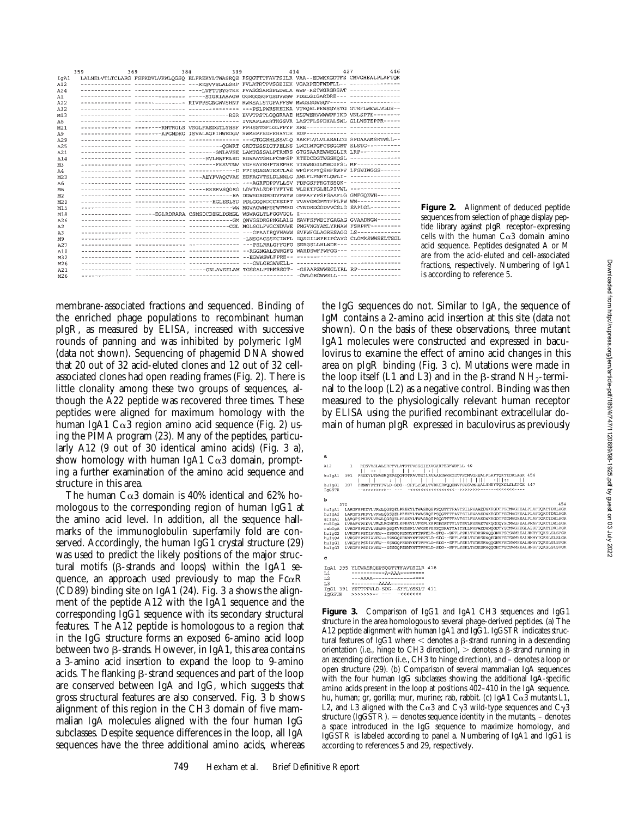| J<br>ļ                                                                                            |
|---------------------------------------------------------------------------------------------------|
|                                                                                                   |
|                                                                                                   |
|                                                                                                   |
|                                                                                                   |
|                                                                                                   |
|                                                                                                   |
|                                                                                                   |
|                                                                                                   |
|                                                                                                   |
|                                                                                                   |
|                                                                                                   |
|                                                                                                   |
|                                                                                                   |
|                                                                                                   |
|                                                                                                   |
|                                                                                                   |
|                                                                                                   |
|                                                                                                   |
|                                                                                                   |
|                                                                                                   |
|                                                                                                   |
|                                                                                                   |
|                                                                                                   |
|                                                                                                   |
|                                                                                                   |
|                                                                                                   |
| ֧֢ׅ֧ׅ֚֚֚֚֚֚֚֚֚֚֚֚֚֚֚֚֚֚֚֚֚֚֚֚֚֬֝֡֓֡                                                               |
|                                                                                                   |
|                                                                                                   |
|                                                                                                   |
|                                                                                                   |
|                                                                                                   |
|                                                                                                   |
|                                                                                                   |
|                                                                                                   |
|                                                                                                   |
|                                                                                                   |
|                                                                                                   |
|                                                                                                   |
|                                                                                                   |
|                                                                                                   |
|                                                                                                   |
|                                                                                                   |
| ĺ                                                                                                 |
|                                                                                                   |
| ı                                                                                                 |
| ׇ֦֧ׅׅ֜֡֜֓֡֡֜                                                                                      |
|                                                                                                   |
|                                                                                                   |
|                                                                                                   |
|                                                                                                   |
|                                                                                                   |
|                                                                                                   |
|                                                                                                   |
| :                                                                                                 |
|                                                                                                   |
| ֖֖֚֚֡֝֬<br>֧֖֧֧֚֚֚֚֚֚֚֚֚֚֚֚֚֚֚֚֚֚֚֚֚֚֚֚֚֩֝֓                                                       |
|                                                                                                   |
|                                                                                                   |
|                                                                                                   |
| ;<br>><br>>                                                                                       |
| City Site City    College    College    College    Chronicles    Chronicles    Chronicles    Chro |
|                                                                                                   |
|                                                                                                   |
|                                                                                                   |
|                                                                                                   |
|                                                                                                   |
|                                                                                                   |
|                                                                                                   |
|                                                                                                   |
| Ì                                                                                                 |
|                                                                                                   |
|                                                                                                   |
| ĺ                                                                                                 |
|                                                                                                   |
| $\ddot{\phantom{a}}$<br>ś                                                                         |
|                                                                                                   |
|                                                                                                   |
|                                                                                                   |
|                                                                                                   |
|                                                                                                   |
|                                                                                                   |
|                                                                                                   |
| :<br>טטט                                                                                          |

|                  | 359 | 384<br>369                                                                                      | 399 | 414 | 427 | 446 |
|------------------|-----|-------------------------------------------------------------------------------------------------|-----|-----|-----|-----|
| IgA1             |     | LALNELVTLTCLARG FSPKDVLVRWLOGSO ELPREKYLTWASROE PSOGTTTFAVTSILR VAA--EDWKKGDTFS CMVGHEALPLAFTOK |     |     |     |     |
| A12              |     | -------------- ------------- ---RESVVSLALSRP PVLATRTPVSGEIEK VGARPEDFWDFLL-- ---------------    |     |     |     |     |
| A24              |     | ------------- ------------- ----LVFTTSYGTKH PVASGSARSPLDWLA WWP-RETWGRGRSAT ---------------     |     |     |     |     |
| A1               |     | ------------- ------------- ----SIGRIAAAGW GGRGGSGFGSDVWSW FDGLGIGARDRE--- ---------------      |     |     |     |     |
| A22              |     | ------------- ------------ RIVPPSGNGWVSHNT RWRSALSTGPAFFSW MWGSSGWSOT----- ---------------      |     |     |     |     |
| A32              |     |                                                                                                 |     |     |     |     |
| M13              |     |                                                                                                 |     |     |     |     |
| A8               |     |                                                                                                 |     |     |     |     |
| M <sub>21</sub>  |     | -------------- --------RNTRGLS VSGLFAEDGTLYHSF FPHSSTGFLGLFPYP KRE------------ --------------   |     |     |     |     |
| A9               |     | -------------- --------APGMDRG ISVALAGFIHWEDGV SWMSPFSGFRHRYDR EDP------------ --------------   |     |     |     |     |
| A29              |     |                                                                                                 |     |     |     |     |
| A25              |     | ------------- ------------ -------- OGWRT GRDTSSSIGTPELNS LWCLWPGFCSSGGRT SLSTG----------       |     |     |     |     |
| A21              |     |                                                                                                 |     |     |     |     |
| A14              |     | -------------- ------------- ----- WLHWFRLHD RGWAATGRLFCNFSP KTEDCDGTWGSHOSL --------------     |     |     |     |     |
| M <sub>3</sub>   |     | -------------- ------------ ------ FESVTNV VGFSAVEHPTSEFRE VIWWGGILMWDIFSL MF-------------      |     |     |     |     |
| A4               |     |                                                                                                 |     |     |     |     |
| M <sub>2</sub> 3 |     | -------------- ------------- ----AEYFVAOCVAE EDFAGVTSLDLNNLG AMLFLFNRYLGWLI- --------------     |     |     |     |     |
| A6               |     |                                                                                                 |     |     |     |     |
| M6               |     | --------------- -------------- -----RRERVSOGEG LDVTALEDPIVFIVE WLDKTFGLHLPIVWL --------------   |     |     |     |     |
| M2               |     |                                                                                                 |     |     |     |     |
| M20              |     | -------------- ------------- ------ HGLESLYD PDLGGORDCCESIFT VVAVGMGFMTFFLPW WM------------     |     |     |     |     |
| M15              |     |                                                                                                 |     |     |     |     |
| M18              |     | -------------- -----EGLRDRARA CSMSDCDEGLDSMGL WSWAGLTLFGGVGQL I------------- -----------        |     |     |     |     |
| A26              |     |                                                                                                 |     |     |     |     |
| A2               |     |                                                                                                 |     |     |     |     |
| A.3              |     |                                                                                                 |     |     |     |     |
| M9               |     |                                                                                                 |     |     |     |     |
| A27              |     |                                                                                                 |     |     |     |     |
| A10              |     |                                                                                                 |     |     |     |     |
| M32              |     |                                                                                                 |     |     |     |     |
| M26              |     |                                                                                                 |     |     |     |     |
| A21              |     | ------------- ------------- ----GNLAVSELAM TGSSALPTRMRSGT- -GSAAREWWEGLIRL RP-------------      |     |     |     |     |
| M26              |     |                                                                                                 |     |     |     |     |

**Figure 2.** Alignment of deduced peptide sequences from selection of phage display peptide library against pIgR receptor–expressing cells with the human  $C\alpha3$  domain amino acid sequence. Peptides designated A or M are from the acid-eluted and cell-associated fractions, respectively. Numbering of IgA1 is according to reference 5.

membrane-associated fractions and sequenced. Binding of the enriched phage populations to recombinant human pIgR, as measured by ELISA, increased with successive rounds of panning and was inhibited by polymeric IgM (data not shown). Sequencing of phagemid DNA showed that 20 out of 32 acid-eluted clones and 12 out of 32 cellassociated clones had open reading frames (Fig. 2). There is little clonality among these two groups of sequences, although the A22 peptide was recovered three times. These peptides were aligned for maximum homology with the human IgA1  $C\alpha$ 3 region amino acid sequence (Fig. 2) using the PIMA program (23). Many of the peptides, particularly A12 (9 out of 30 identical amino acids) (Fig. 3 a), show homology with human IgA1  $Ca3$  domain, prompting a further examination of the amino acid sequence and structure in this area.

The human  $C\alpha3$  domain is 40% identical and 62% homologous to the corresponding region of human IgG1 at the amino acid level. In addition, all the sequence hallmarks of the immunoglobulin superfamily fold are conserved. Accordingly, the human IgG1 crystal structure (29) was used to predict the likely positions of the major structural motifs (b-strands and loops) within the IgA1 sequence, an approach used previously to map the  $Fc\alpha R$ (CD89) binding site on IgA1 (24). Fig. 3 a shows the alignment of the peptide A12 with the IgA1 sequence and the corresponding IgG1 sequence with its secondary structural features. The A12 peptide is homologous to a region that in the IgG structure forms an exposed 6-amino acid loop between two  $\beta$ -strands. However, in IgA1, this area contains a 3-amino acid insertion to expand the loop to 9-amino acids. The flanking  $\beta$ -strand sequences and part of the loop are conserved between IgA and IgG, which suggests that gross structural features are also conserved. Fig. 3 b shows alignment of this region in the CH3 domain of five mammalian IgA molecules aligned with the four human IgG subclasses. Despite sequence differences in the loop, all IgA sequences have the three additional amino acids, whereas

the IgG sequences do not. Similar to IgA, the sequence of IgM contains a 2-amino acid insertion at this site (data not shown). On the basis of these observations, three mutant IgA1 molecules were constructed and expressed in baculovirus to examine the effect of amino acid changes in this area on pIgR binding (Fig. 3 c). Mutations were made in the loop itself (L1 and L3) and in the  $\beta$ -strand NH<sub>2</sub>-terminal to the loop (L2) as a negative control. Binding was then measured to the physiologically relevant human receptor by ELISA using the purified recombinant extracellular domain of human pIgR expressed in baculovirus as previously



**Figure 3.** Comparison of IgG1 and IgA1 CH3 sequences and IgG1 structure in the area homologous to several phage-derived peptides. (a) The A12 peptide alignment with human IgA1 and IgG1. IgGSTR indicates structural features of IgG1 where  $\lt$  denotes a  $\beta$ -strand running in a descending orientation (i.e., hinge to CH3 direction),  $>$  denotes a  $\beta$ -strand running in an ascending direction (i.e., CH3 to hinge direction), and – denotes a loop or open structure (29). (b) Comparison of several mammalian IgA sequences with the four human IgG subclasses showing the additional IgA-specific amino acids present in the loop at positions 402–410 in the IgA sequence. hu, human; gr, gorilla; mur, murine; rab, rabbit. (c) IgA1 Co3 mutants L1, L2, and L3 aligned with the C $\alpha$ 3 and C $\gamma$ 3 wild-type sequences and C $\gamma$ 3 structure (IgGSTR).  $=$  denotes sequence identity in the mutants,  $-$  denotes a space introduced in the IgG sequence to maximize homology, and IgGSTR is labeled according to panel a. Numbering of IgA1 and IgG1 is according to references 5 and 29, respectively.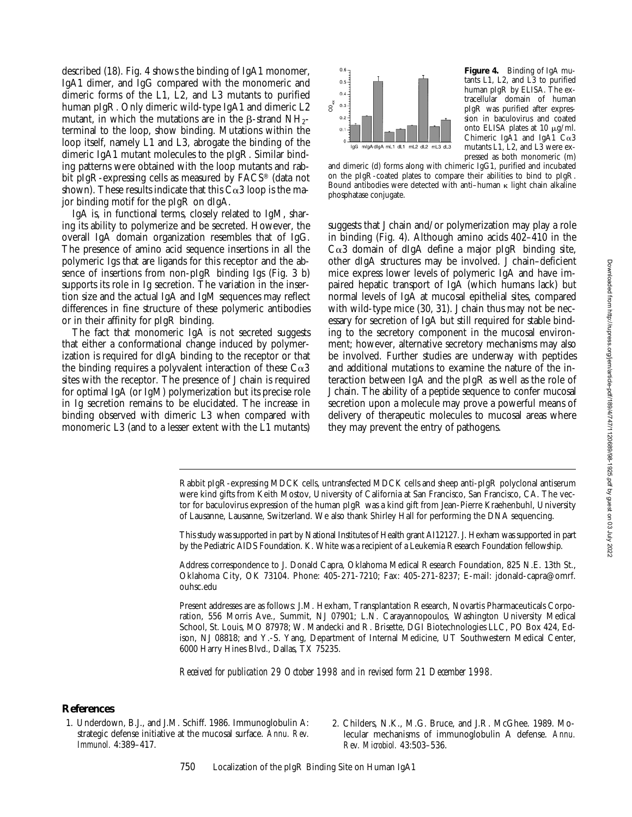described (18). Fig. 4 shows the binding of IgA1 monomer, IgA1 dimer, and IgG compared with the monomeric and dimeric forms of the L1, L2, and L3 mutants to purified human pIgR. Only dimeric wild-type IgA1 and dimeric L2 mutant, in which the mutations are in the  $\beta$ -strand NH<sub>2</sub>terminal to the loop, show binding. Mutations within the loop itself, namely L1 and L3, abrogate the binding of the dimeric IgA1 mutant molecules to the pIgR. Similar binding patterns were obtained with the loop mutants and rabbit pIgR-expressing cells as measured by FACS® (data not shown). These results indicate that this  $C\alpha3$  loop is the major binding motif for the pIgR on dIgA.

IgA is, in functional terms, closely related to IgM, sharing its ability to polymerize and be secreted. However, the overall IgA domain organization resembles that of IgG. The presence of amino acid sequence insertions in all the polymeric Igs that are ligands for this receptor and the absence of insertions from non-pIgR binding Igs (Fig. 3 b) supports its role in Ig secretion. The variation in the insertion size and the actual IgA and IgM sequences may reflect differences in fine structure of these polymeric antibodies or in their affinity for pIgR binding.

The fact that monomeric IgA is not secreted suggests that either a conformational change induced by polymerization is required for dIgA binding to the receptor or that the binding requires a polyvalent interaction of these  $C\alpha3$ sites with the receptor. The presence of J chain is required for optimal IgA (or IgM) polymerization but its precise role in Ig secretion remains to be elucidated. The increase in binding observed with dimeric L3 when compared with monomeric L3 (and to a lesser extent with the L1 mutants)



**Figure 4.** Binding of IgA mutants L1, L2, and L3 to purified human pIgR by ELISA. The extracellular domain of human pIgR was purified after expression in baculovirus and coated onto ELISA plates at  $10 \mu g/ml$ . Chimeric IgA1 and IgA1  $Ca3$ mutants L1, L2, and L3 were expressed as both monomeric (m)

and dimeric (d) forms along with chimeric IgG1, purified and incubated on the pIgR-coated plates to compare their abilities to bind to pIgR. Bound antibodies were detected with anti-human  $\kappa$  light chain alkaline phosphatase conjugate.

suggests that J chain and/or polymerization may play a role in binding (Fig. 4). Although amino acids 402–410 in the  $C\alpha$ 3 domain of dIgA define a major pIgR binding site, other dIgA structures may be involved. J chain–deficient mice express lower levels of polymeric IgA and have impaired hepatic transport of IgA (which humans lack) but normal levels of IgA at mucosal epithelial sites, compared with wild-type mice (30, 31). J chain thus may not be necessary for secretion of IgA but still required for stable binding to the secretory component in the mucosal environment; however, alternative secretory mechanisms may also be involved. Further studies are underway with peptides and additional mutations to examine the nature of the interaction between IgA and the pIgR as well as the role of J chain. The ability of a peptide sequence to confer mucosal secretion upon a molecule may prove a powerful means of delivery of therapeutic molecules to mucosal areas where they may prevent the entry of pathogens.

Rabbit pIgR-expressing MDCK cells, untransfected MDCK cells and sheep anti-pIgR polyclonal antiserum were kind gifts from Keith Mostov, University of California at San Francisco, San Francisco, CA. The vector for baculovirus expression of the human pIgR was a kind gift from Jean-Pierre Kraehenbuhl, University of Lausanne, Lausanne, Switzerland. We also thank Shirley Hall for performing the DNA sequencing.

This study was supported in part by National Institutes of Health grant AI12127. J. Hexham was supported in part by the Pediatric AIDS Foundation. K. White was a recipient of a Leukemia Research Foundation fellowship.

Address correspondence to J. Donald Capra, Oklahoma Medical Research Foundation, 825 N.E. 13th St., Oklahoma City, OK 73104. Phone: 405-271-7210; Fax: 405-271-8237; E-mail: jdonald-capra@omrf. ouhsc.edu

Present addresses are as follows: J.M. Hexham, Transplantation Research, Novartis Pharmaceuticals Corporation, 556 Morris Ave., Summit, NJ 07901; L.N. Carayannopoulos, Washington University Medical School, St. Louis, MO 87978; W. Mandecki and R. Brisette, DGI Biotechnologies LLC, PO Box 424, Edison, NJ 08818; and Y.-S. Yang, Department of Internal Medicine, UT Southwestern Medical Center, 6000 Harry Hines Blvd., Dallas, TX 75235.

*Received for publication 29 October 1998 and in revised form 21 December 1998.*

### **References**

- 1. Underdown, B.J., and J.M. Schiff. 1986. Immunoglobulin A: strategic defense initiative at the mucosal surface. *Annu. Rev. Immunol.* 4:389–417.
- 2. Childers, N.K., M.G. Bruce, and J.R. McGhee. 1989. Molecular mechanisms of immunoglobulin A defense. *Annu. Rev. Microbiol.* 43:503–536.